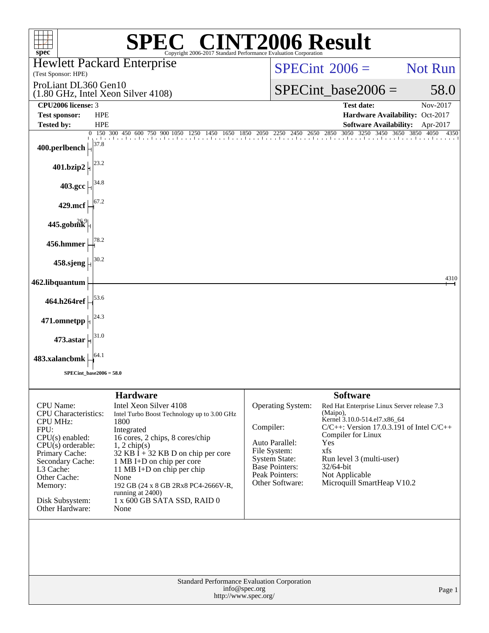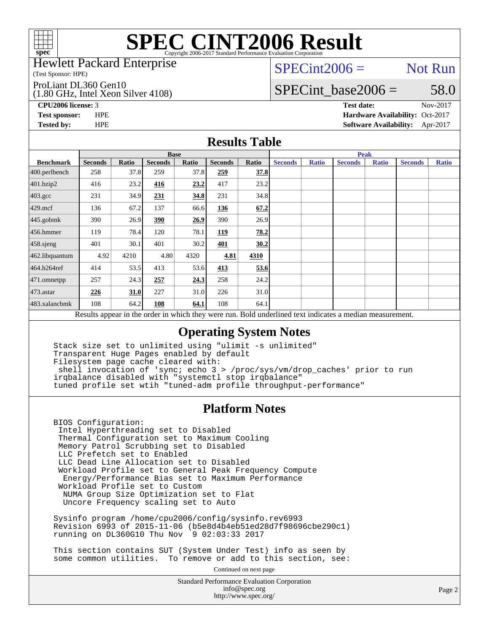

### Hewlett Packard Enterprise

(Test Sponsor: HPE)

### ProLiant DL360 Gen10

(1.80 GHz, Intel Xeon Silver 4108)

## $SPECint2006 =$  Not Run

## SPECint base2006 =  $58.0$

**[CPU2006 license:](http://www.spec.org/auto/cpu2006/Docs/result-fields.html#CPU2006license)** 3 **[Test date:](http://www.spec.org/auto/cpu2006/Docs/result-fields.html#Testdate)** Nov-2017

**[Test sponsor:](http://www.spec.org/auto/cpu2006/Docs/result-fields.html#Testsponsor)** HPE **[Hardware Availability:](http://www.spec.org/auto/cpu2006/Docs/result-fields.html#HardwareAvailability)** Oct-2017 **[Tested by:](http://www.spec.org/auto/cpu2006/Docs/result-fields.html#Testedby)** HPE **[Software Availability:](http://www.spec.org/auto/cpu2006/Docs/result-fields.html#SoftwareAvailability)** Apr-2017

### **[Results Table](http://www.spec.org/auto/cpu2006/Docs/result-fields.html#ResultsTable)**

|                                                                                                          | <b>Base</b>    |       |                |       |                |       | <b>Peak</b>    |              |                |              |                |              |
|----------------------------------------------------------------------------------------------------------|----------------|-------|----------------|-------|----------------|-------|----------------|--------------|----------------|--------------|----------------|--------------|
| <b>Benchmark</b>                                                                                         | <b>Seconds</b> | Ratio | <b>Seconds</b> | Ratio | <b>Seconds</b> | Ratio | <b>Seconds</b> | <b>Ratio</b> | <b>Seconds</b> | <b>Ratio</b> | <b>Seconds</b> | <b>Ratio</b> |
| $400.$ perlbench                                                                                         | 258            | 37.8  | 259            | 37.8  | 259            | 37.8  |                |              |                |              |                |              |
| 401.bzip2                                                                                                | 416            | 23.2  | 416            | 23.2  | 417            | 23.2  |                |              |                |              |                |              |
| $403.\mathrm{gcc}$                                                                                       | 231            | 34.9  | 231            | 34.8  | 231            | 34.8  |                |              |                |              |                |              |
| $429$ .mcf                                                                                               | 136            | 67.2  | 137            | 66.6  | 136            | 67.2  |                |              |                |              |                |              |
| $445$ .gobmk                                                                                             | 390            | 26.9  | 390            | 26.9  | 390            | 26.9  |                |              |                |              |                |              |
| 456.hmmer                                                                                                | 119            | 78.4  | 120            | 78.1  | 119            | 78.2  |                |              |                |              |                |              |
| $458$ .sjeng                                                                                             | 401            | 30.1  | 401            | 30.2  | 401            | 30.2  |                |              |                |              |                |              |
| 462.libquantum                                                                                           | 4.92           | 4210  | 4.80           | 4320  | 4.81           | 4310  |                |              |                |              |                |              |
| 464.h264ref                                                                                              | 414            | 53.5  | 413            | 53.6  | 413            | 53.6  |                |              |                |              |                |              |
| 471.omnetpp                                                                                              | 257            | 24.3  | 257            | 24.3  | 258            | 24.2  |                |              |                |              |                |              |
| $473$ . astar                                                                                            | 226            | 31.0  | 227            | 31.0  | 226            | 31.0  |                |              |                |              |                |              |
| 483.xalancbmk                                                                                            | 108            | 64.2  | 108            | 64.1  | 108            | 64.1  |                |              |                |              |                |              |
| Results appear in the order in which they were run. Bold underlined text indicates a median measurement. |                |       |                |       |                |       |                |              |                |              |                |              |

## **[Operating System Notes](http://www.spec.org/auto/cpu2006/Docs/result-fields.html#OperatingSystemNotes)**

 Stack size set to unlimited using "ulimit -s unlimited" Transparent Huge Pages enabled by default Filesystem page cache cleared with: shell invocation of 'sync; echo 3 > /proc/sys/vm/drop\_caches' prior to run irqbalance disabled with "systemctl stop irqbalance" tuned profile set wtih "tuned-adm profile throughput-performance"

### **[Platform Notes](http://www.spec.org/auto/cpu2006/Docs/result-fields.html#PlatformNotes)**

 BIOS Configuration: Intel Hyperthreading set to Disabled Thermal Configuration set to Maximum Cooling Memory Patrol Scrubbing set to Disabled LLC Prefetch set to Enabled LLC Dead Line Allocation set to Disabled Workload Profile set to General Peak Frequency Compute Energy/Performance Bias set to Maximum Performance Workload Profile set to Custom NUMA Group Size Optimization set to Flat Uncore Frequency scaling set to Auto

 Sysinfo program /home/cpu2006/config/sysinfo.rev6993 Revision 6993 of 2015-11-06 (b5e8d4b4eb51ed28d7f98696cbe290c1) running on DL360G10 Thu Nov 9 02:03:33 2017

 This section contains SUT (System Under Test) info as seen by some common utilities. To remove or add to this section, see:

Continued on next page

Standard Performance Evaluation Corporation [info@spec.org](mailto:info@spec.org) <http://www.spec.org/>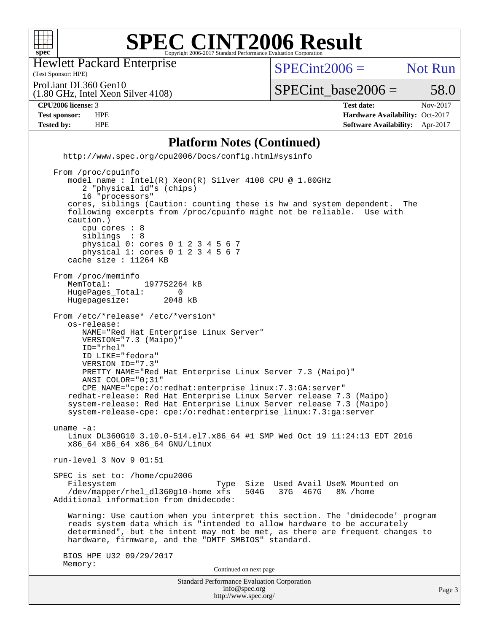

Hewlett Packard Enterprise

(Test Sponsor: HPE)

 $SPECint2006 =$  Not Run

ProLiant DL360 Gen10

(1.80 GHz, Intel Xeon Silver 4108)

**[Tested by:](http://www.spec.org/auto/cpu2006/Docs/result-fields.html#Testedby)** HPE **[Software Availability:](http://www.spec.org/auto/cpu2006/Docs/result-fields.html#SoftwareAvailability)** Apr-2017

 $SPECTnt\_base2006 = 58.0$ **[CPU2006 license:](http://www.spec.org/auto/cpu2006/Docs/result-fields.html#CPU2006license)** 3 **[Test date:](http://www.spec.org/auto/cpu2006/Docs/result-fields.html#Testdate)** Nov-2017 **[Test sponsor:](http://www.spec.org/auto/cpu2006/Docs/result-fields.html#Testsponsor)** HPE **[Hardware Availability:](http://www.spec.org/auto/cpu2006/Docs/result-fields.html#HardwareAvailability)** Oct-2017

### **[Platform Notes \(Continued\)](http://www.spec.org/auto/cpu2006/Docs/result-fields.html#PlatformNotes)**

 <http://www.spec.org/cpu2006/Docs/config.html#sysinfo> From /proc/cpuinfo

Standard Performance Evaluation Corporation [info@spec.org](mailto:info@spec.org) Page 3 model name : Intel(R) Xeon(R) Silver 4108 CPU @ 1.80GHz 2 "physical id"s (chips) 16 "processors" cores, siblings (Caution: counting these is hw and system dependent. The following excerpts from /proc/cpuinfo might not be reliable. Use with caution.) cpu cores : 8 siblings : 8 physical 0: cores 0 1 2 3 4 5 6 7 physical 1: cores 0 1 2 3 4 5 6 7 cache size : 11264 KB From /proc/meminfo<br>MemTotal: 197752264 kB HugePages\_Total: 0<br>Hugepagesize: 2048 kB Hugepagesize: From /etc/\*release\* /etc/\*version\* os-release: NAME="Red Hat Enterprise Linux Server" VERSION="7.3 (Maipo)" ID="rhel" ID\_LIKE="fedora" VERSION\_ID="7.3" PRETTY\_NAME="Red Hat Enterprise Linux Server 7.3 (Maipo)" ANSI\_COLOR="0;31" CPE\_NAME="cpe:/o:redhat:enterprise\_linux:7.3:GA:server" redhat-release: Red Hat Enterprise Linux Server release 7.3 (Maipo) system-release: Red Hat Enterprise Linux Server release 7.3 (Maipo) system-release-cpe: cpe:/o:redhat:enterprise\_linux:7.3:ga:server uname -a: Linux DL360G10 3.10.0-514.el7.x86\_64 #1 SMP Wed Oct 19 11:24:13 EDT 2016 x86\_64 x86\_64 x86\_64 GNU/Linux run-level 3 Nov 9 01:51 SPEC is set to: /home/cpu2006 Filesystem Type Size Used Avail Use% Mounted on /dev/mapper/rhel dl360q10-home xfs 504G 37G 467G 8% /home /dev/mapper/rhel\_dl360g10-home xfs Additional information from dmidecode: Warning: Use caution when you interpret this section. The 'dmidecode' program reads system data which is "intended to allow hardware to be accurately determined", but the intent may not be met, as there are frequent changes to hardware, firmware, and the "DMTF SMBIOS" standard. BIOS HPE U32 09/29/2017 Memory: Continued on next page

<http://www.spec.org/>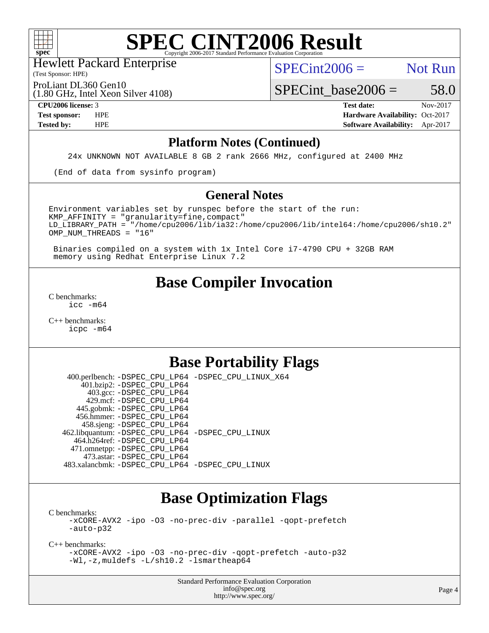

(Test Sponsor: HPE) Hewlett Packard Enterprise

 $SPECint2006 =$  Not Run

ProLiant DL360 Gen10

(1.80 GHz, Intel Xeon Silver 4108)

 $SPECTnt\_base2006 = 58.0$ 

**[CPU2006 license:](http://www.spec.org/auto/cpu2006/Docs/result-fields.html#CPU2006license)** 3 **[Test date:](http://www.spec.org/auto/cpu2006/Docs/result-fields.html#Testdate)** Nov-2017 **[Test sponsor:](http://www.spec.org/auto/cpu2006/Docs/result-fields.html#Testsponsor)** HPE **[Hardware Availability:](http://www.spec.org/auto/cpu2006/Docs/result-fields.html#HardwareAvailability)** Oct-2017 **[Tested by:](http://www.spec.org/auto/cpu2006/Docs/result-fields.html#Testedby)** HPE **[Software Availability:](http://www.spec.org/auto/cpu2006/Docs/result-fields.html#SoftwareAvailability)** Apr-2017

### **[Platform Notes \(Continued\)](http://www.spec.org/auto/cpu2006/Docs/result-fields.html#PlatformNotes)**

24x UNKNOWN NOT AVAILABLE 8 GB 2 rank 2666 MHz, configured at 2400 MHz

(End of data from sysinfo program)

### **[General Notes](http://www.spec.org/auto/cpu2006/Docs/result-fields.html#GeneralNotes)**

Environment variables set by runspec before the start of the run:  $KMP$  AFFINITY = "granularity=fine, compact" LD\_LIBRARY\_PATH = "/home/cpu2006/lib/ia32:/home/cpu2006/lib/intel64:/home/cpu2006/sh10.2" OMP\_NUM\_THREADS = "16"

 Binaries compiled on a system with 1x Intel Core i7-4790 CPU + 32GB RAM memory using Redhat Enterprise Linux 7.2

# **[Base Compiler Invocation](http://www.spec.org/auto/cpu2006/Docs/result-fields.html#BaseCompilerInvocation)**

[C benchmarks](http://www.spec.org/auto/cpu2006/Docs/result-fields.html#Cbenchmarks): [icc -m64](http://www.spec.org/cpu2006/results/res2017q4/cpu2006-20171114-50665.flags.html#user_CCbase_intel_icc_64bit_bda6cc9af1fdbb0edc3795bac97ada53)

[C++ benchmarks:](http://www.spec.org/auto/cpu2006/Docs/result-fields.html#CXXbenchmarks) [icpc -m64](http://www.spec.org/cpu2006/results/res2017q4/cpu2006-20171114-50665.flags.html#user_CXXbase_intel_icpc_64bit_fc66a5337ce925472a5c54ad6a0de310)

# **[Base Portability Flags](http://www.spec.org/auto/cpu2006/Docs/result-fields.html#BasePortabilityFlags)**

 400.perlbench: [-DSPEC\\_CPU\\_LP64](http://www.spec.org/cpu2006/results/res2017q4/cpu2006-20171114-50665.flags.html#b400.perlbench_basePORTABILITY_DSPEC_CPU_LP64) [-DSPEC\\_CPU\\_LINUX\\_X64](http://www.spec.org/cpu2006/results/res2017q4/cpu2006-20171114-50665.flags.html#b400.perlbench_baseCPORTABILITY_DSPEC_CPU_LINUX_X64) 401.bzip2: [-DSPEC\\_CPU\\_LP64](http://www.spec.org/cpu2006/results/res2017q4/cpu2006-20171114-50665.flags.html#suite_basePORTABILITY401_bzip2_DSPEC_CPU_LP64) 403.gcc: [-DSPEC\\_CPU\\_LP64](http://www.spec.org/cpu2006/results/res2017q4/cpu2006-20171114-50665.flags.html#suite_basePORTABILITY403_gcc_DSPEC_CPU_LP64) 429.mcf: [-DSPEC\\_CPU\\_LP64](http://www.spec.org/cpu2006/results/res2017q4/cpu2006-20171114-50665.flags.html#suite_basePORTABILITY429_mcf_DSPEC_CPU_LP64) 445.gobmk: [-DSPEC\\_CPU\\_LP64](http://www.spec.org/cpu2006/results/res2017q4/cpu2006-20171114-50665.flags.html#suite_basePORTABILITY445_gobmk_DSPEC_CPU_LP64) 456.hmmer: [-DSPEC\\_CPU\\_LP64](http://www.spec.org/cpu2006/results/res2017q4/cpu2006-20171114-50665.flags.html#suite_basePORTABILITY456_hmmer_DSPEC_CPU_LP64) 458.sjeng: [-DSPEC\\_CPU\\_LP64](http://www.spec.org/cpu2006/results/res2017q4/cpu2006-20171114-50665.flags.html#suite_basePORTABILITY458_sjeng_DSPEC_CPU_LP64) 462.libquantum: [-DSPEC\\_CPU\\_LP64](http://www.spec.org/cpu2006/results/res2017q4/cpu2006-20171114-50665.flags.html#suite_basePORTABILITY462_libquantum_DSPEC_CPU_LP64) [-DSPEC\\_CPU\\_LINUX](http://www.spec.org/cpu2006/results/res2017q4/cpu2006-20171114-50665.flags.html#b462.libquantum_baseCPORTABILITY_DSPEC_CPU_LINUX) 464.h264ref: [-DSPEC\\_CPU\\_LP64](http://www.spec.org/cpu2006/results/res2017q4/cpu2006-20171114-50665.flags.html#suite_basePORTABILITY464_h264ref_DSPEC_CPU_LP64) 471.omnetpp: [-DSPEC\\_CPU\\_LP64](http://www.spec.org/cpu2006/results/res2017q4/cpu2006-20171114-50665.flags.html#suite_basePORTABILITY471_omnetpp_DSPEC_CPU_LP64) 473.astar: [-DSPEC\\_CPU\\_LP64](http://www.spec.org/cpu2006/results/res2017q4/cpu2006-20171114-50665.flags.html#suite_basePORTABILITY473_astar_DSPEC_CPU_LP64) 483.xalancbmk: [-DSPEC\\_CPU\\_LP64](http://www.spec.org/cpu2006/results/res2017q4/cpu2006-20171114-50665.flags.html#suite_basePORTABILITY483_xalancbmk_DSPEC_CPU_LP64) [-DSPEC\\_CPU\\_LINUX](http://www.spec.org/cpu2006/results/res2017q4/cpu2006-20171114-50665.flags.html#b483.xalancbmk_baseCXXPORTABILITY_DSPEC_CPU_LINUX)

# **[Base Optimization Flags](http://www.spec.org/auto/cpu2006/Docs/result-fields.html#BaseOptimizationFlags)**

[C benchmarks](http://www.spec.org/auto/cpu2006/Docs/result-fields.html#Cbenchmarks): [-xCORE-AVX2](http://www.spec.org/cpu2006/results/res2017q4/cpu2006-20171114-50665.flags.html#user_CCbase_f-xCORE-AVX2) [-ipo](http://www.spec.org/cpu2006/results/res2017q4/cpu2006-20171114-50665.flags.html#user_CCbase_f-ipo) [-O3](http://www.spec.org/cpu2006/results/res2017q4/cpu2006-20171114-50665.flags.html#user_CCbase_f-O3) [-no-prec-div](http://www.spec.org/cpu2006/results/res2017q4/cpu2006-20171114-50665.flags.html#user_CCbase_f-no-prec-div) [-parallel](http://www.spec.org/cpu2006/results/res2017q4/cpu2006-20171114-50665.flags.html#user_CCbase_f-parallel) [-qopt-prefetch](http://www.spec.org/cpu2006/results/res2017q4/cpu2006-20171114-50665.flags.html#user_CCbase_f-qopt-prefetch) [-auto-p32](http://www.spec.org/cpu2006/results/res2017q4/cpu2006-20171114-50665.flags.html#user_CCbase_f-auto-p32)

[C++ benchmarks:](http://www.spec.org/auto/cpu2006/Docs/result-fields.html#CXXbenchmarks)

[-xCORE-AVX2](http://www.spec.org/cpu2006/results/res2017q4/cpu2006-20171114-50665.flags.html#user_CXXbase_f-xCORE-AVX2) [-ipo](http://www.spec.org/cpu2006/results/res2017q4/cpu2006-20171114-50665.flags.html#user_CXXbase_f-ipo) [-O3](http://www.spec.org/cpu2006/results/res2017q4/cpu2006-20171114-50665.flags.html#user_CXXbase_f-O3) [-no-prec-div](http://www.spec.org/cpu2006/results/res2017q4/cpu2006-20171114-50665.flags.html#user_CXXbase_f-no-prec-div) [-qopt-prefetch](http://www.spec.org/cpu2006/results/res2017q4/cpu2006-20171114-50665.flags.html#user_CXXbase_f-qopt-prefetch) [-auto-p32](http://www.spec.org/cpu2006/results/res2017q4/cpu2006-20171114-50665.flags.html#user_CXXbase_f-auto-p32) [-Wl,-z,muldefs](http://www.spec.org/cpu2006/results/res2017q4/cpu2006-20171114-50665.flags.html#user_CXXbase_link_force_multiple1_74079c344b956b9658436fd1b6dd3a8a) [-L/sh10.2 -lsmartheap64](http://www.spec.org/cpu2006/results/res2017q4/cpu2006-20171114-50665.flags.html#user_CXXbase_SmartHeap64_63911d860fc08c15fa1d5bf319b9d8d5)

> Standard Performance Evaluation Corporation [info@spec.org](mailto:info@spec.org) <http://www.spec.org/>